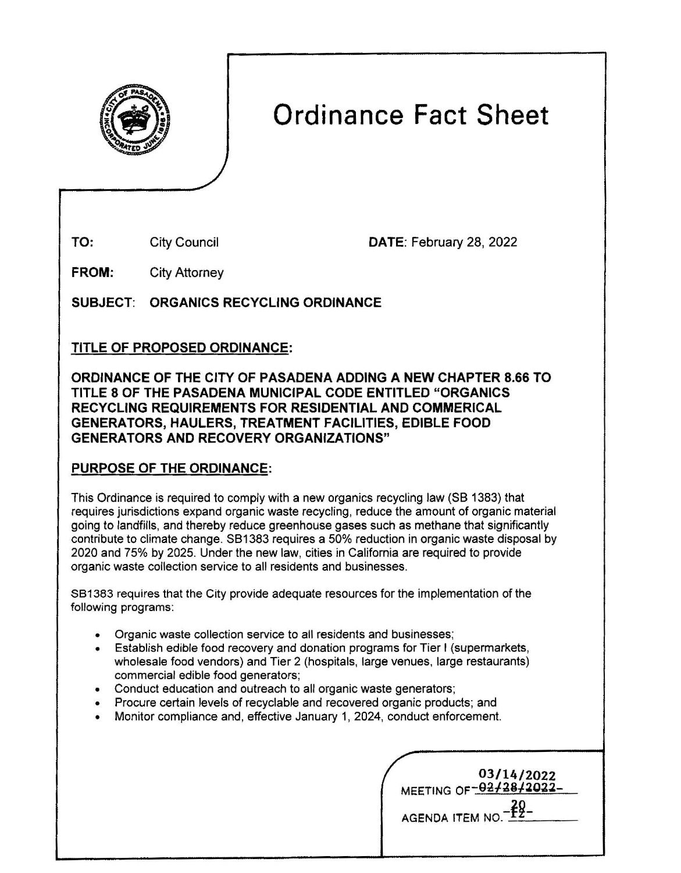

# Ordinance Fact Sheet

City Council

TO: DATE: February 28, 2022

**FROM:**  City Attorney

SUBJECT: **ORGANICS** RECYCLING **ORDINANCE** 

# TITLE OF PROPOSED **ORDINANCE:**

**ORDINANCE** OF THE CITY OF **PASADENA ADDING A NEW** CHAPTER **8.66** TO TITLE 8 OF THE **PASADENA MUNICIPAL** CODE ENTITLED **"ORGANICS RECYCLING REQUIREMENTS FOR RESIDENTIAL AND COMMERICAL GENERATORS, HAULERS, TREATMENT FACILITIES, EDIBLE FOOD GENERATORS AND RECOVERY ORGANIZATIONS"** 

# **PURPOSE OF THE ORDINANCE:**

This Ordinance is required to comply with a new organics recycling law (SB 1383) that requires jurisdictions expand organic waste recycling, reduce the amount of organic material going to landfills, and thereby reduce greenhouse gases such as methane that significantly contribute to climate change. SB1383 requires a 50% reduction in organic waste disposal by 2020 and 75% by 2025. Under the new law, cities in California are required to provide organic waste collection service to all residents and businesses.

SB1383 requires that the City provide adequate resources for the implementation of the following programs:

- Organic waste collection service to all residents and businesses;
- Establish edible food recovery and donation programs for Tier I (supermarkets, wholesale food vendors) and Tier 2 (hospitals, large venues, large restaurants) commercial edible food generators;
- Conduct education and outreach to all organic **waste** generators;
- Procure certain levels of recyclable and recovered organic products; and
- Monitor compliance and, effective January 1, 2024, conduct enforcement.

|                        | 03/14/2022             |
|------------------------|------------------------|
|                        | MEETING OF-02/28/2022- |
|                        |                        |
| <b>AGENDA ITEM NO.</b> |                        |